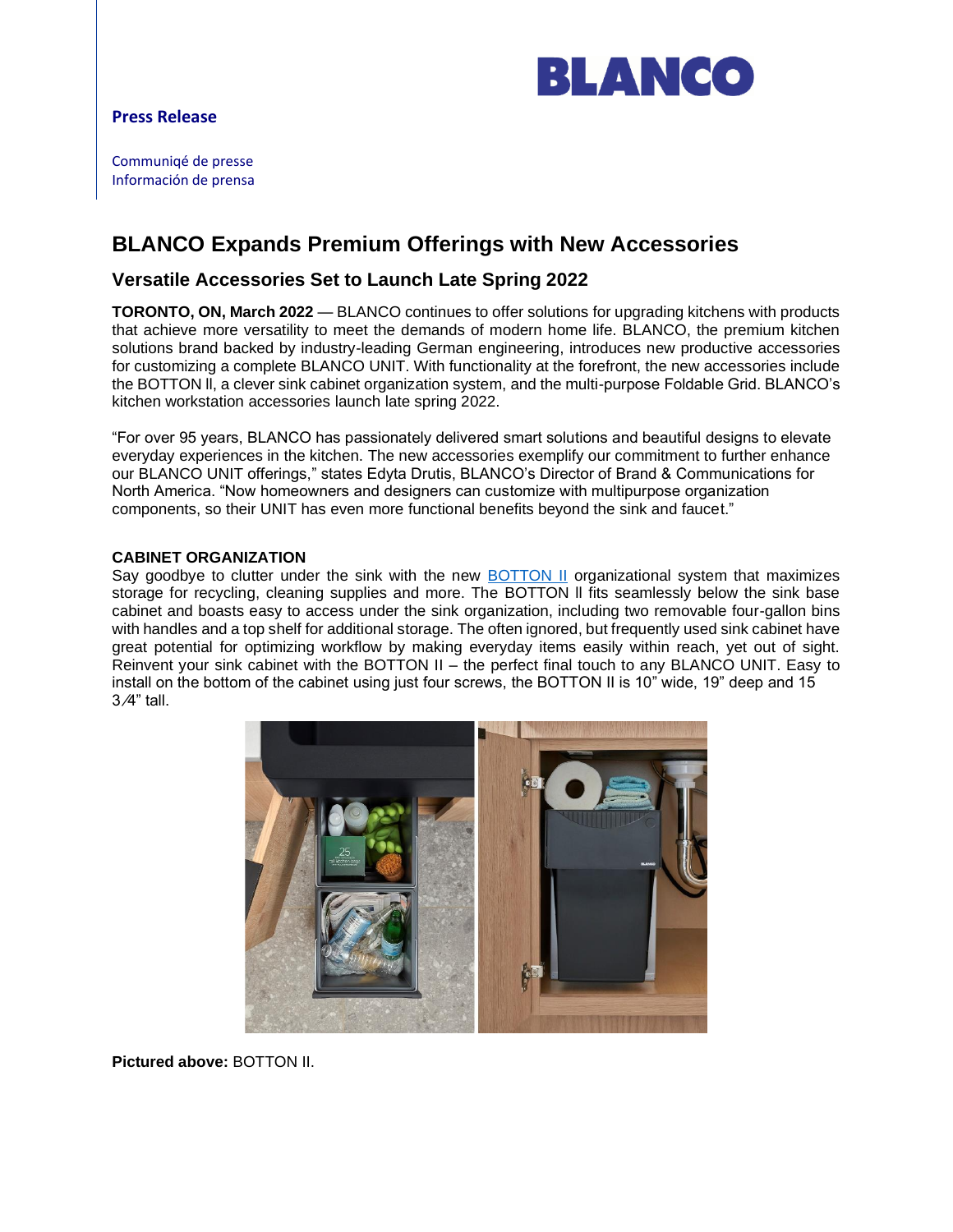

## **Press Release**

Communiqé de presse Información de prensa

# **BLANCO Expands Premium Offerings with New Accessories**

# **Versatile Accessories Set to Launch Late Spring 2022**

**TORONTO, ON, March 2022** — BLANCO continues to offer solutions for upgrading kitchens with products that achieve more versatility to meet the demands of modern home life. BLANCO, the premium kitchen solutions brand backed by industry-leading German engineering, introduces new productive accessories for customizing a complete BLANCO UNIT. With functionality at the forefront, the new accessories include the BOTTON ll, a clever sink cabinet organization system, and the multi-purpose Foldable Grid. BLANCO's kitchen workstation accessories launch late spring 2022.

"For over 95 years, BLANCO has passionately delivered smart solutions and beautiful designs to elevate everyday experiences in the kitchen. The new accessories exemplify our commitment to further enhance our BLANCO UNIT offerings," states Edyta Drutis, BLANCO's Director of Brand & Communications for North America. "Now homeowners and designers can customize with multipurpose organization components, so their UNIT has even more functional benefits beyond the sink and faucet."

### **CABINET ORGANIZATION**

Say goodbye to clutter under the sink with the new [BOTTON II](https://www.blanco.com/ca-en/waste-separation/botton_ii_wastesystem-f/botton-ii-pdp-176.760/?articleNr=526376) organizational system that maximizes storage for recycling, cleaning supplies and more. The BOTTON ll fits seamlessly below the sink base cabinet and boasts easy to access under the sink organization, including two removable four-gallon bins with handles and a top shelf for additional storage. The often ignored, but frequently used sink cabinet have great potential for optimizing workflow by making everyday items easily within reach, yet out of sight. Reinvent your sink cabinet with the BOTTON II – the perfect final touch to any BLANCO UNIT. Easy to install on the bottom of the cabinet using just four screws, the BOTTON II is 10" wide, 19" deep and 15 3 ⁄4" tall.



**Pictured above:** BOTTON II.